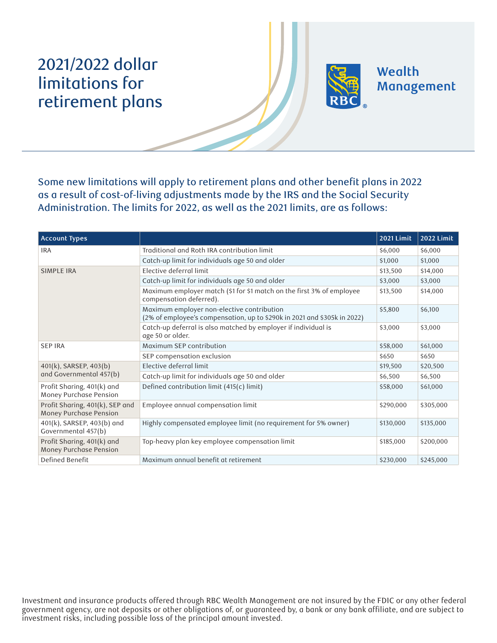## 2021/2022 dollar limitations for retirement plans



Wealth Management

Some new limitations will apply to retirement plans and other benefit plans in 2022 as a result of cost-of-living adjustments made by the IRS and the Social Security Administration. The limits for 2022, as well as the 2021 limits, are as follows:

| <b>Account Types</b>                                      |                                                                                                                        | <b>2021 Limit</b> | <b>2022 Limit</b> |
|-----------------------------------------------------------|------------------------------------------------------------------------------------------------------------------------|-------------------|-------------------|
| <b>IRA</b>                                                | Traditional and Roth IRA contribution limit                                                                            | \$6,000           | \$6,000           |
|                                                           | Catch-up limit for individuals age 50 and older                                                                        | \$1,000           | \$1,000           |
| <b>SIMPLE IRA</b>                                         | Elective deferral limit                                                                                                | \$13,500          | \$14,000          |
|                                                           | Catch-up limit for individuals age 50 and older                                                                        | \$3,000           | \$3,000           |
|                                                           | Maximum employer match (\$1 for \$1 match on the first 3% of employee<br>compensation deferred).                       | \$13,500          | \$14,000          |
|                                                           | Maximum employer non-elective contribution<br>(2% of employee's compensation, up to \$290k in 2021 and \$305k in 2022) | \$5,800           | \$6,100           |
|                                                           | Catch-up deferral is also matched by employer if individual is<br>age 50 or older.                                     | \$3,000           | \$3,000           |
| <b>SEP IRA</b>                                            | Maximum SEP contribution                                                                                               | \$58,000          | \$61,000          |
|                                                           | SEP compensation exclusion                                                                                             | \$650             | \$650             |
| 401(k), SARSEP, 403(b)<br>and Governmental 457(b)         | Elective deferral limit                                                                                                | \$19,500          | \$20,500          |
|                                                           | Catch-up limit for individuals age 50 and older                                                                        | \$6,500           | \$6,500           |
| Profit Sharing, 401(k) and<br>Money Purchase Pension      | Defined contribution limit (415(c) limit)                                                                              | \$58,000          | \$61,000          |
| Profit Sharing, 401(k), SEP and<br>Money Purchase Pension | Employee annual compensation limit                                                                                     | \$290,000         | \$305,000         |
| 401(k), SARSEP, 403(b) and<br>Governmental 457(b)         | Highly compensated employee limit (no requirement for 5% owner)                                                        | \$130,000         | \$135,000         |
| Profit Sharing, 401(k) and<br>Money Purchase Pension      | Top-heavy plan key employee compensation limit                                                                         | \$185,000         | \$200,000         |
| Defined Benefit                                           | Maximum annual benefit at retirement                                                                                   | \$230,000         | \$245,000         |

Investment and insurance products offered through RBC Wealth Management are not insured by the FDIC or any other federal government agency, are not deposits or other obligations of, or guaranteed by, a bank or any bank affiliate, and are subject to investment risks, including possible loss of the principal amount invested.